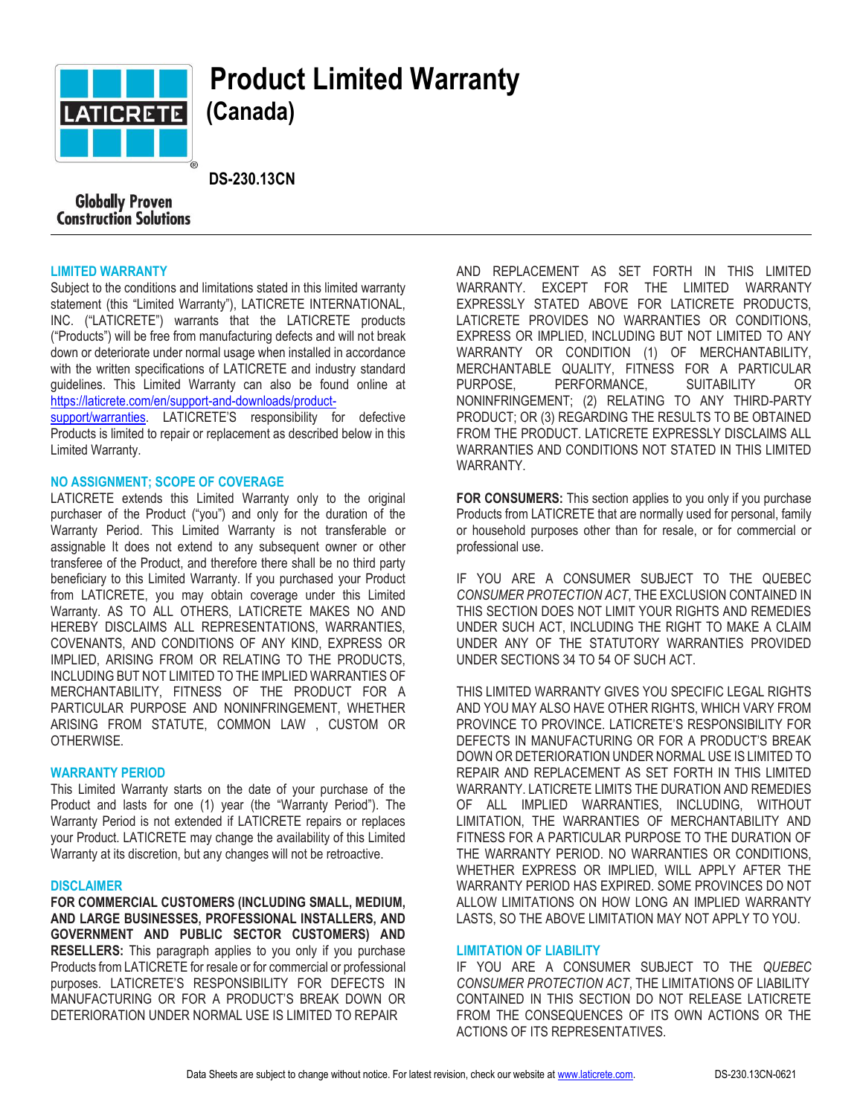

# **Product Limited Warranty (Canada)**

 **DS-230.13CN**

# **Globally Proven Construction Solutions**

### **LIMITED WARRANTY**

Subject to the conditions and limitations stated in this limited warranty statement (this "Limited Warranty"), LATICRETE INTERNATIONAL, INC. ("LATICRETE") warrants that the LATICRETE products ("Products") will be free from manufacturing defects and will not break down or deteriorate under normal usage when installed in accordance with the written specifications of LATICRETE and industry standard guidelines. This Limited Warranty can also be found online at [https://laticrete.com/en/support-and-downloads/product-](https://laticrete.com/en/support-and-downloads/product-support/warranties)

[support/warranties.](https://laticrete.com/en/support-and-downloads/product-support/warranties) LATICRETE'S responsibility for defective Products is limited to repair or replacement as described below in this Limited Warranty.

### **NO ASSIGNMENT; SCOPE OF COVERAGE**

LATICRETE extends this Limited Warranty only to the original purchaser of the Product ("you") and only for the duration of the Warranty Period. This Limited Warranty is not transferable or assignable It does not extend to any subsequent owner or other transferee of the Product, and therefore there shall be no third party beneficiary to this Limited Warranty. If you purchased your Product from LATICRETE, you may obtain coverage under this Limited Warranty. AS TO ALL OTHERS, LATICRETE MAKES NO AND HEREBY DISCLAIMS ALL REPRESENTATIONS, WARRANTIES, COVENANTS, AND CONDITIONS OF ANY KIND, EXPRESS OR IMPLIED, ARISING FROM OR RELATING TO THE PRODUCTS, INCLUDING BUT NOT LIMITED TO THE IMPLIED WARRANTIES OF MERCHANTABILITY, FITNESS OF THE PRODUCT FOR A PARTICULAR PURPOSE AND NONINFRINGEMENT, WHETHER ARISING FROM STATUTE, COMMON LAW , CUSTOM OR OTHERWISE.

### **WARRANTY PERIOD**

This Limited Warranty starts on the date of your purchase of the Product and lasts for one (1) year (the "Warranty Period"). The Warranty Period is not extended if LATICRETE repairs or replaces your Product. LATICRETE may change the availability of this Limited Warranty at its discretion, but any changes will not be retroactive.

### **DISCLAIMER**

**FOR COMMERCIAL CUSTOMERS (INCLUDING SMALL, MEDIUM, AND LARGE BUSINESSES, PROFESSIONAL INSTALLERS, AND GOVERNMENT AND PUBLIC SECTOR CUSTOMERS) AND RESELLERS:** This paragraph applies to you only if you purchase Products from LATICRETE for resale or for commercial or professional purposes. LATICRETE'S RESPONSIBILITY FOR DEFECTS IN MANUFACTURING OR FOR A PRODUCT'S BREAK DOWN OR DETERIORATION UNDER NORMAL USE IS LIMITED TO REPAIR

AND REPLACEMENT AS SET FORTH IN THIS LIMITED WARRANTY. EXCEPT FOR THE LIMITED WARRANTY EXPRESSLY STATED ABOVE FOR LATICRETE PRODUCTS, LATICRETE PROVIDES NO WARRANTIES OR CONDITIONS, EXPRESS OR IMPLIED, INCLUDING BUT NOT LIMITED TO ANY WARRANTY OR CONDITION (1) OF MERCHANTABILITY, MERCHANTABLE QUALITY, FITNESS FOR A PARTICULAR PURPOSE, PERFORMANCE, SUITABILITY OR NONINFRINGEMENT; (2) RELATING TO ANY THIRD-PARTY PRODUCT; OR (3) REGARDING THE RESULTS TO BE OBTAINED FROM THE PRODUCT. LATICRETE EXPRESSLY DISCLAIMS ALL WARRANTIES AND CONDITIONS NOT STATED IN THIS LIMITED WARRANTY.

**FOR CONSUMERS:** This section applies to you only if you purchase Products from LATICRETE that are normally used for personal, family or household purposes other than for resale, or for commercial or professional use.

IF YOU ARE A CONSUMER SUBJECT TO THE QUEBEC *CONSUMER PROTECTION ACT*, THE EXCLUSION CONTAINED IN THIS SECTION DOES NOT LIMIT YOUR RIGHTS AND REMEDIES UNDER SUCH ACT, INCLUDING THE RIGHT TO MAKE A CLAIM UNDER ANY OF THE STATUTORY WARRANTIES PROVIDED UNDER SECTIONS 34 TO 54 OF SUCH ACT.

THIS LIMITED WARRANTY GIVES YOU SPECIFIC LEGAL RIGHTS AND YOU MAY ALSO HAVE OTHER RIGHTS, WHICH VARY FROM PROVINCE TO PROVINCE. LATICRETE'S RESPONSIBILITY FOR DEFECTS IN MANUFACTURING OR FOR A PRODUCT'S BREAK DOWN OR DETERIORATION UNDER NORMAL USE IS LIMITED TO REPAIR AND REPLACEMENT AS SET FORTH IN THIS LIMITED WARRANTY. LATICRETE LIMITS THE DURATION AND REMEDIES OF ALL IMPLIED WARRANTIES, INCLUDING, WITHOUT LIMITATION, THE WARRANTIES OF MERCHANTABILITY AND FITNESS FOR A PARTICULAR PURPOSE TO THE DURATION OF THE WARRANTY PERIOD. NO WARRANTIES OR CONDITIONS, WHETHER EXPRESS OR IMPLIED, WILL APPLY AFTER THE WARRANTY PERIOD HAS EXPIRED. SOME PROVINCES DO NOT ALLOW LIMITATIONS ON HOW LONG AN IMPLIED WARRANTY LASTS, SO THE ABOVE LIMITATION MAY NOT APPLY TO YOU.

### **LIMITATION OF LIABILITY**

IF YOU ARE A CONSUMER SUBJECT TO THE *QUEBEC CONSUMER PROTECTION ACT*, THE LIMITATIONS OF LIABILITY CONTAINED IN THIS SECTION DO NOT RELEASE LATICRETE FROM THE CONSEQUENCES OF ITS OWN ACTIONS OR THE ACTIONS OF ITS REPRESENTATIVES.